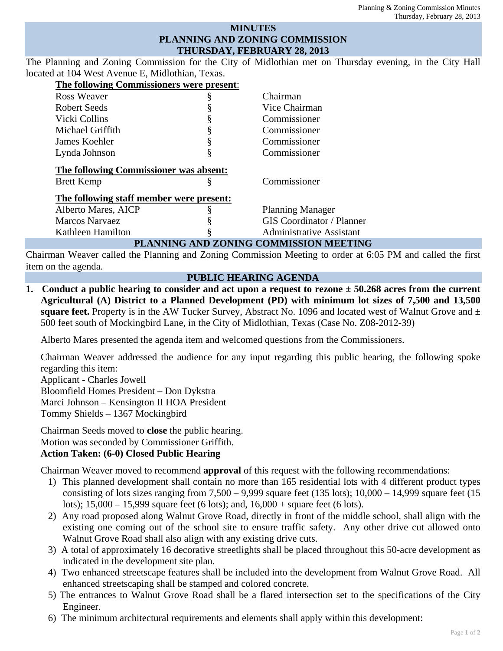### **MINUTES PLANNING AND ZONING COMMISSION THURSDAY, FEBRUARY 28, 2013**

The Planning and Zoning Commission for the City of Midlothian met on Thursday evening, in the City Hall located at 104 West Avenue E, Midlothian, Texas.

| The following Commissioners were present: |   |                                  |
|-------------------------------------------|---|----------------------------------|
| Ross Weaver                               | § | Chairman                         |
| Robert Seeds                              |   | Vice Chairman                    |
| Vicki Collins                             | § | Commissioner                     |
| Michael Griffith                          | § | Commissioner                     |
| James Koehler                             | § | Commissioner                     |
| Lynda Johnson                             | § | Commissioner                     |
| The following Commissioner was absent:    |   |                                  |
| <b>Brett Kemp</b>                         | § | Commissioner                     |
| The following staff member were present:  |   |                                  |
| Alberto Mares, AICP                       | Š | <b>Planning Manager</b>          |
| <b>Marcos Narvaez</b>                     |   | <b>GIS Coordinator / Planner</b> |
| Kathleen Hamilton                         | ş | <b>Administrative Assistant</b>  |
| PLANNING AND ZONING COMMISSION MEETING    |   |                                  |

Chairman Weaver called the Planning and Zoning Commission Meeting to order at 6:05 PM and called the first item on the agenda.

### **PUBLIC HEARING AGENDA**

**1. Conduct a public hearing to consider and act upon a request to rezone ± 50.268 acres from the current Agricultural (A) District to a Planned Development (PD) with minimum lot sizes of 7,500 and 13,500 square feet.** Property is in the AW Tucker Survey, Abstract No. 1096 and located west of Walnut Grove and  $\pm$ 500 feet south of Mockingbird Lane, in the City of Midlothian, Texas (Case No. Z08-2012-39)

Alberto Mares presented the agenda item and welcomed questions from the Commissioners.

Chairman Weaver addressed the audience for any input regarding this public hearing, the following spoke regarding this item:

Applicant - Charles Jowell Bloomfield Homes President – Don Dykstra Marci Johnson – Kensington II HOA President Tommy Shields – 1367 Mockingbird

Chairman Seeds moved to **close** the public hearing. Motion was seconded by Commissioner Griffith.

# **Action Taken: (6-0) Closed Public Hearing**

Chairman Weaver moved to recommend **approval** of this request with the following recommendations:

- 1) This planned development shall contain no more than 165 residential lots with 4 different product types consisting of lots sizes ranging from  $7,500 - 9,999$  square feet (135 lots);  $10,000 - 14,999$  square feet (15 lots); 15,000 – 15,999 square feet (6 lots); and, 16,000 + square feet (6 lots).
- 2) Any road proposed along Walnut Grove Road, directly in front of the middle school, shall align with the existing one coming out of the school site to ensure traffic safety. Any other drive cut allowed onto Walnut Grove Road shall also align with any existing drive cuts.
- 3) A total of approximately 16 decorative streetlights shall be placed throughout this 50-acre development as indicated in the development site plan.
- 4) Two enhanced streetscape features shall be included into the development from Walnut Grove Road. All enhanced streetscaping shall be stamped and colored concrete.
- 5) The entrances to Walnut Grove Road shall be a flared intersection set to the specifications of the City Engineer.
- 6) The minimum architectural requirements and elements shall apply within this development: